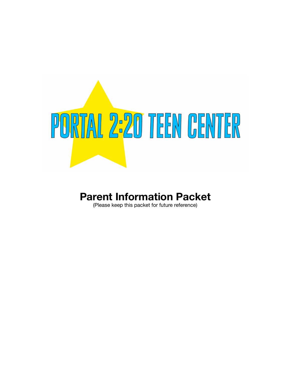

## **Parent Information Packet**

(Please keep this packet for future reference)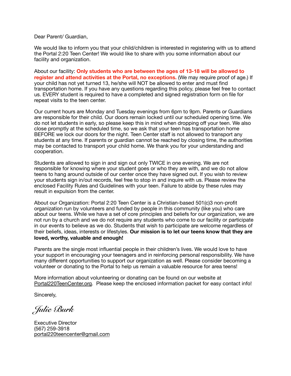Dear Parent/ Guardian,

We would like to inform you that your child/children is interested in registering with us to attend the Portal 2:20 Teen Center! We would like to share with you some information about our facility and organization.

About our facility: **Only students who are between the ages of 13-18 will be allowed to register and attend activities at the Portal, no exceptions.** (We may require proof of age.) If your child has not yet turned 13, he/she will NOT be allowed to enter and must find transportation home. If you have any questions regarding this policy, please feel free to contact us. EVERY student is required to have a completed and signed registration form on file for repeat visits to the teen center.

Our current hours are Monday and Tuesday evenings from 6pm to 9pm. Parents or Guardians are responsible for their child. Our doors remain locked until our scheduled opening time. We do not let students in early, so please keep this in mind when dropping off your teen. We also close promptly at the scheduled time, so we ask that your teen has transportation home BEFORE we lock our doors for the night. Teen Center staff is not allowed to transport any students at any time. If parents or guardian cannot be reached by closing time, the authorities may be contacted to transport your child home. We thank you for your understanding and cooperation.

Students are allowed to sign in and sign out only TWICE in one evening. We are not responsible for knowing where your student goes or who they are with, and we do not allow teens to hang around outside of our center once they have signed out. If you wish to review your students sign in/out records, feel free to stop in and inquire with us. Please review the enclosed Facility Rules and Guidelines with your teen. Failure to abide by these rules may result in expulsion from the center.

About our Organization: Portal 2:20 Teen Center is a Christian-based 501(c)3 non-profit organization run by volunteers and funded by people in this community (like you) who care about our teens. While we have a set of core principles and beliefs for our organization, we are not run by a church and we do not require any students who come to our facility or participate in our events to believe as we do. Students that wish to participate are welcome regardless of their beliefs, ideas, interests or lifestyles. **Our mission is to let our teens know that they are loved, worthy, valuable and enough!** 

Parents are the single most influential people in their children's lives. We would love to have your support in encouraging your teenagers and in reinforcing personal responsibility. We have many different opportunities to support our organization as well. Please consider becoming a volunteer or donating to the Portal to help us remain a valuable resource for area teens!

More information about volunteering or donating can be found on our website at [Portal220TeenCenter.org](http://Portal220TeenCenter.org). Please keep the enclosed information packet for easy contact info!

Sincerely,

*Julie Burk* 

Executive Director (567) 259-3918 [portal220teencenter@gmail.com](mailto:portal220teencenter@gmail.com)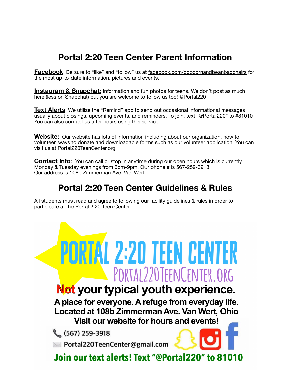## **Portal 2:20 Teen Center Parent Information**

**Facebook**: Be sure to "like" and "follow" us at [facebook.com/popcornandbeanbagchairs](http://facebook.com/popcornandbeanbagchairs) for the most up-to-date information, pictures and events.

**Instagram & Snapchat:** Information and fun photos for teens. We don't post as much here (less on Snapchat) but you are welcome to follow us too! @Portal220

**Text Alerts**: We utilize the "Remind" app to send out occasional informational messages usually about closings, upcoming events, and reminders. To join, text "@Portal220" to #81010 You can also contact us after hours using this service.

**Website:** Our website has lots of information including about our organization, how to volunteer, ways to donate and downloadable forms such as our volunteer application. You can visit us at [Portal220TeenCenter.org](http://Portal220TeenCenter.org)

**Contact Info**: You can call or stop in anytime during our open hours which is currently Monday & Tuesday evenings from 6pm-9pm. Our phone # is 567-259-3918 Our address is 108b Zimmerman Ave. Van Wert.

### **Portal 2:20 Teen Center Guidelines & Rules**

All students must read and agree to following our facility guidelines & rules in order to participate at the Portal 2:20 Teen Center.

# **PORTAL 2:20 TEEN CENTER** PORTAL220TEENCENTER.ORG Not your typical youth experience.

A place for everyone. A refuge from everyday life. Located at 108b Zimmerman Ave. Van Wert, Ohio

Visit our website for hours and events!

 $(567)$  259-3918

>> Portal220TeenCenter@gmail.com

Join our text alerts! Text "@Portal220" to 81010